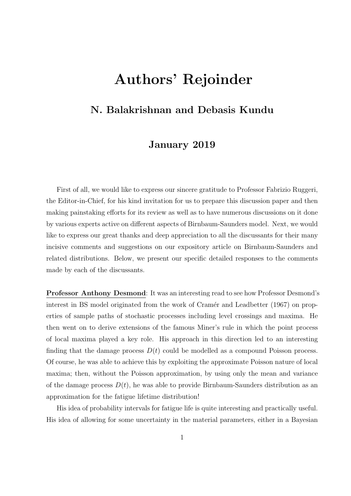## Authors' Rejoinder

## N. Balakrishnan and Debasis Kundu

## January 2019

First of all, we would like to express our sincere gratitude to Professor Fabrizio Ruggeri, the Editor-in-Chief, for his kind invitation for us to prepare this discussion paper and then making painstaking efforts for its review as well as to have numerous discussions on it done by various experts active on different aspects of Birnbaum-Saunders model. Next, we would like to express our great thanks and deep appreciation to all the discussants for their many incisive comments and suggestions on our expository article on Birnbaum-Saunders and related distributions. Below, we present our specific detailed responses to the comments made by each of the discussants.

Professor Anthony Desmond: It was an interesting read to see how Professor Desmond's interest in BS model originated from the work of Cramér and Leadbetter (1967) on properties of sample paths of stochastic processes including level crossings and maxima. He then went on to derive extensions of the famous Miner's rule in which the point process of local maxima played a key role. His approach in this direction led to an interesting finding that the damage process  $D(t)$  could be modelled as a compound Poisson process. Of course, he was able to achieve this by exploiting the approximate Poisson nature of local maxima; then, without the Poisson approximation, by using only the mean and variance of the damage process  $D(t)$ , he was able to provide Birnbaum-Saunders distribution as an approximation for the fatigue lifetime distribution!

His idea of probability intervals for fatigue life is quite interesting and practically useful. His idea of allowing for some uncertainty in the material parameters, either in a Bayesian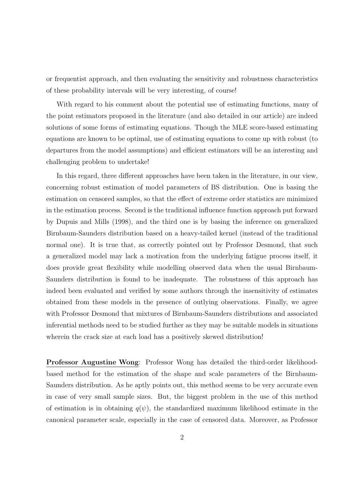or frequentist approach, and then evaluating the sensitivity and robustness characteristics of these probability intervals will be very interesting, of course!

With regard to his comment about the potential use of estimating functions, many of the point estimators proposed in the literature (and also detailed in our article) are indeed solutions of some forms of estimating equations. Though the MLE score-based estimating equations are known to be optimal, use of estimating equations to come up with robust (to departures from the model assumptions) and efficient estimators will be an interesting and challenging problem to undertake!

In this regard, three different approaches have been taken in the literature, in our view, concerning robust estimation of model parameters of BS distribution. One is basing the estimation on censored samples, so that the effect of extreme order statistics are minimized in the estimation process. Second is the traditional influence function approach put forward by Dupuis and Mills (1998), and the third one is by basing the inference on generalized Birnbaum-Saunders distribution based on a heavy-tailed kernel (instead of the traditional normal one). It is true that, as correctly pointed out by Professor Desmond, that such a generalized model may lack a motivation from the underlying fatigue process itself, it does provide great flexibility while modelling observed data when the usual Birnbaum-Saunders distribution is found to be inadequate. The robustness of this approach has indeed been evaluated and verified by some authors through the insensitivity of estimates obtained from these models in the presence of outlying observations. Finally, we agree with Professor Desmond that mixtures of Birnbaum-Saunders distributions and associated inferential methods need to be studied further as they may be suitable models in situations wherein the crack size at each load has a positively skewed distribution!

Professor Augustine Wong: Professor Wong has detailed the third-order likelihoodbased method for the estimation of the shape and scale parameters of the Birnbaum-Saunders distribution. As he aptly points out, this method seems to be very accurate even in case of very small sample sizes. But, the biggest problem in the use of this method of estimation is in obtaining  $q(\psi)$ , the standardized maximum likelihood estimate in the canonical parameter scale, especially in the case of censored data. Moreover, as Professor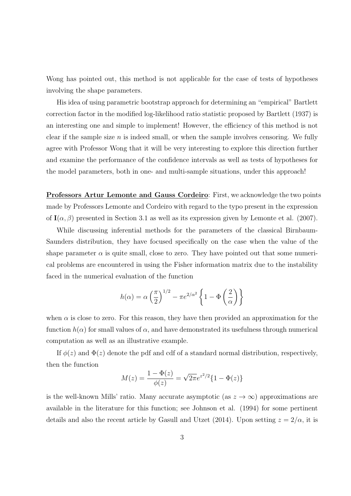Wong has pointed out, this method is not applicable for the case of tests of hypotheses involving the shape parameters.

His idea of using parametric bootstrap approach for determining an "empirical" Bartlett correction factor in the modified log-likelihood ratio statistic proposed by Bartlett (1937) is an interesting one and simple to implement! However, the efficiency of this method is not clear if the sample size  $n$  is indeed small, or when the sample involves censoring. We fully agree with Professor Wong that it will be very interesting to explore this direction further and examine the performance of the confidence intervals as well as tests of hypotheses for the model parameters, both in one- and multi-sample situations, under this approach!

Professors Artur Lemonte and Gauss Cordeiro: First, we acknowledge the two points made by Professors Lemonte and Cordeiro with regard to the typo present in the expression of  $I(\alpha, \beta)$  presented in Section 3.1 as well as its expression given by Lemonte et al. (2007).

While discussing inferential methods for the parameters of the classical Birnbaum-Saunders distribution, they have focused specifically on the case when the value of the shape parameter  $\alpha$  is quite small, close to zero. They have pointed out that some numerical problems are encountered in using the Fisher information matrix due to the instability faced in the numerical evaluation of the function

$$
h(\alpha) = \alpha \left(\frac{\pi}{2}\right)^{1/2} - \pi e^{2/\alpha^2} \left\{1 - \Phi\left(\frac{2}{\alpha}\right)\right\}
$$

when  $\alpha$  is close to zero. For this reason, they have then provided an approximation for the function  $h(\alpha)$  for small values of  $\alpha$ , and have demonstrated its usefulness through numerical computation as well as an illustrative example.

If  $\phi(z)$  and  $\Phi(z)$  denote the pdf and cdf of a standard normal distribution, respectively, then the function

$$
M(z) = \frac{1 - \Phi(z)}{\phi(z)} = \sqrt{2\pi}e^{z^2/2}\{1 - \Phi(z)\}\
$$

is the well-known Mills' ratio. Many accurate asymptotic (as  $z \to \infty$ ) approximations are available in the literature for this function; see Johnson et al. (1994) for some pertinent details and also the recent article by Gasull and Utzet (2014). Upon setting  $z = 2/\alpha$ , it is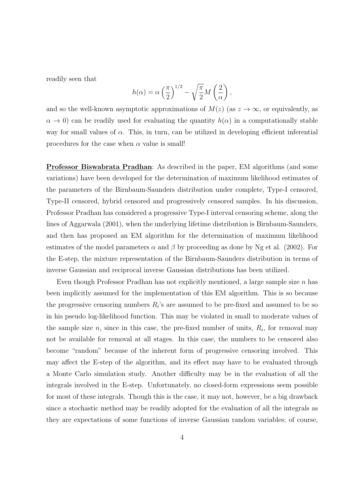readily seen that

$$
h(\alpha) = \alpha \left(\frac{\pi}{2}\right)^{1/2} - \sqrt{\frac{\pi}{2}} M\left(\frac{2}{\alpha}\right),
$$

and so the well-known asymptotic approximations of  $M(z)$  (as  $z \to \infty$ , or equivalently, as  $\alpha \to 0$ ) can be readily used for evaluating the quantity  $h(\alpha)$  in a computationally stable way for small values of  $\alpha$ . This, in turn, can be utilized in developing efficient inferential procedures for the case when  $\alpha$  value is small!

Professor Biswabrata Pradhan: As described in the paper, EM algorithms (and some variations) have been developed for the determination of maximum likelihood estimates of the parameters of the Birnbaum-Saunders distribution under complete, Type-I censored, Type-II censored, hybrid censored and progressively censored samples. In his discussion, Professor Pradhan has considered a progressive Type-I interval censoring scheme, along the lines of Aggarwala (2001), when the underlying lifetime distribution is Birnbaum-Saunders, and then has proposed an EM algorithm for the determination of maximum likelihood estimates of the model parameters  $\alpha$  and  $\beta$  by proceeding as done by Ng et al. (2002). For the E-step, the mixture representation of the Birnbaum-Saunders distribution in terms of inverse Gaussian and reciprocal inverse Gaussian distributions has been utilized.

Even though Professor Pradhan has not explicitly mentioned, a large sample size  $n$  has been implicitly assumed for the implementation of this EM algorithm. This is so because the progressive censoring numbers  $R_i$ 's are assumed to be pre-fixed and assumed to be so in his pseudo log-likelihood function. This may be violated in small to moderate values of the sample size  $n$ , since in this case, the pre-fixed number of units,  $R_i$ , for removal may not be available for removal at all stages. In this case, the numbers to be censored also become "random" because of the inherent form of progressive censoring involved. This may affect the E-step of the algorithm, and its effect may have to be evaluated through a Monte Carlo simulation study. Another difficulty may be in the evaluation of all the integrals involved in the E-step. Unfortunately, no closed-form expressions seem possible for most of these integrals. Though this is the case, it may not, however, be a big drawback since a stochastic method may be readily adopted for the evaluation of all the integrals as they are expectations of some functions of inverse Gaussian random variables; of course,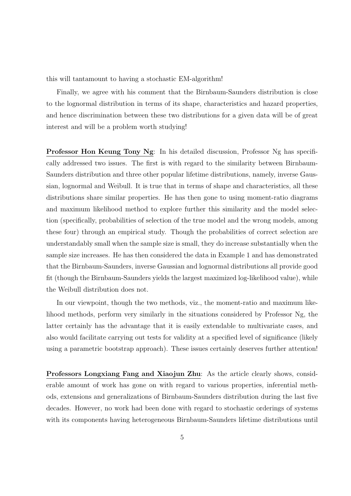this will tantamount to having a stochastic EM-algorithm!

Finally, we agree with his comment that the Birnbaum-Saunders distribution is close to the lognormal distribution in terms of its shape, characteristics and hazard properties, and hence discrimination between these two distributions for a given data will be of great interest and will be a problem worth studying!

Professor Hon Keung Tony Ng: In his detailed discussion, Professor Ng has specifically addressed two issues. The first is with regard to the similarity between Birnbaum-Saunders distribution and three other popular lifetime distributions, namely, inverse Gaussian, lognormal and Weibull. It is true that in terms of shape and characteristics, all these distributions share similar properties. He has then gone to using moment-ratio diagrams and maximum likelihood method to explore further this similarity and the model selection (specifically, probabilities of selection of the true model and the wrong models, among these four) through an empirical study. Though the probabilities of correct selection are understandably small when the sample size is small, they do increase substantially when the sample size increases. He has then considered the data in Example 1 and has demonstrated that the Birnbaum-Saunders, inverse Gaussian and lognormal distributions all provide good fit (though the Birnbaum-Saunders yields the largest maximized log-likelihood value), while the Weibull distribution does not.

In our viewpoint, though the two methods, viz., the moment-ratio and maximum likelihood methods, perform very similarly in the situations considered by Professor Ng, the latter certainly has the advantage that it is easily extendable to multivariate cases, and also would facilitate carrying out tests for validity at a specified level of significance (likely using a parametric bootstrap approach). These issues certainly deserves further attention!

Professors Longxiang Fang and Xiaojun Zhu: As the article clearly shows, considerable amount of work has gone on with regard to various properties, inferential methods, extensions and generalizations of Birnbaum-Saunders distribution during the last five decades. However, no work had been done with regard to stochastic orderings of systems with its components having heterogeneous Birnbaum-Saunders lifetime distributions until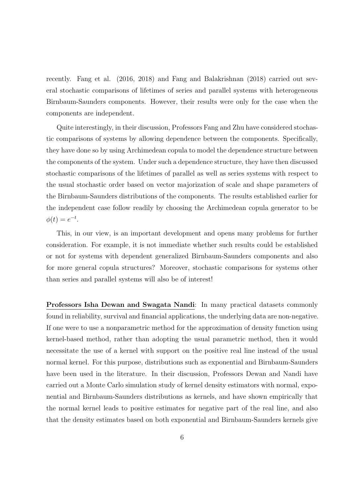recently. Fang et al. (2016, 2018) and Fang and Balakrishnan (2018) carried out several stochastic comparisons of lifetimes of series and parallel systems with heterogeneous Birnbaum-Saunders components. However, their results were only for the case when the components are independent.

Quite interestingly, in their discussion, Professors Fang and Zhu have considered stochastic comparisons of systems by allowing dependence between the components. Specifically, they have done so by using Archimedean copula to model the dependence structure between the components of the system. Under such a dependence structure, they have then discussed stochastic comparisons of the lifetimes of parallel as well as series systems with respect to the usual stochastic order based on vector majorization of scale and shape parameters of the Birnbaum-Saunders distributions of the components. The results established earlier for the independent case follow readily by choosing the Archimedean copula generator to be  $\phi(t) = e^{-t}.$ 

This, in our view, is an important development and opens many problems for further consideration. For example, it is not immediate whether such results could be established or not for systems with dependent generalized Birnbaum-Saunders components and also for more general copula structures? Moreover, stochastic comparisons for systems other than series and parallel systems will also be of interest!

Professors Isha Dewan and Swagata Nandi: In many practical datasets commonly found in reliability, survival and financial applications, the underlying data are non-negative. If one were to use a nonparametric method for the approximation of density function using kernel-based method, rather than adopting the usual parametric method, then it would necessitate the use of a kernel with support on the positive real line instead of the usual normal kernel. For this purpose, distributions such as exponential and Birnbaum-Saunders have been used in the literature. In their discussion, Professors Dewan and Nandi have carried out a Monte Carlo simulation study of kernel density estimators with normal, exponential and Birnbaum-Saunders distributions as kernels, and have shown empirically that the normal kernel leads to positive estimates for negative part of the real line, and also that the density estimates based on both exponential and Birnbaum-Saunders kernels give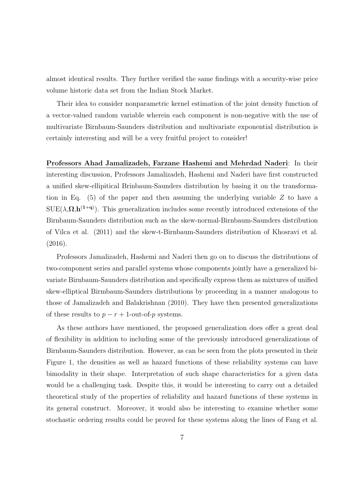almost identical results. They further verified the same findings with a security-wise price volume historic data set from the Indian Stock Market.

Their idea to consider nonparametric kernel estimation of the joint density function of a vector-valued random variable wherein each component is non-negative with the use of multivariate Birnbaum-Saunders distribution and multivariate exponential distribution is certainly interesting and will be a very fruitful project to consider!

Professors Ahad Jamalizadeh, Farzane Hashemi and Mehrdad Naderi: In their interesting discussion, Professors Jamalizadeh, Hashemi and Naderi have first constructed a unified skew-ellipitical Brinbaum-Saunders distribution by basing it on the transformation in Eq.  $(5)$  of the paper and then assuming the underlying variable Z to have a  $SUE(\lambda, \Omega, h^{(1+q)})$ . This generalization includes some recently introduced extensions of the Birnbaum-Saunders distribution such as the skew-normal-Birnbaum-Saunders distribution of Vilca et al. (2011) and the skew-t-Birnbaum-Saunders distribution of Khosravi et al. (2016).

Professors Jamalizadeh, Hashemi and Naderi then go on to discuss the distributions of two-component series and parallel systems whose components jointly have a generalized bivariate Birnbaum-Saunders distribution and specifically express them as mixtures of unified skew-elliptical Birmbaum-Saunders distributions by proceeding in a manner analogous to those of Jamalizadeh and Balakrishnan (2010). They have then presented generalizations of these results to  $p - r + 1$ -out-of-p systems.

As these authors have mentioned, the proposed generalization does offer a great deal of flexibility in addition to including some of the previously introduced generalizations of Birnbaum-Saunders distribution. However, as can be seen from the plots presented in their Figure 1, the densities as well as hazard functions of these reliability systems can have bimodality in their shape. Interpretation of such shape characteristics for a given data would be a challenging task. Despite this, it would be interesting to carry out a detailed theoretical study of the properties of reliability and hazard functions of these systems in its general construct. Moreover, it would also be interesting to examine whether some stochastic ordering results could be proved for these systems along the lines of Fang et al.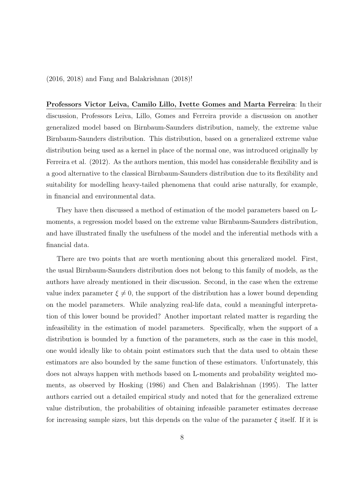(2016, 2018) and Fang and Balakrishnan (2018)!

Professors Victor Leiva, Camilo Lillo, Ivette Gomes and Marta Ferreira: In their discussion, Professors Leiva, Lillo, Gomes and Ferreira provide a discussion on another generalized model based on Birnbaum-Saunders distribution, namely, the extreme value Birnbaum-Saunders distribution. This distribution, based on a generalized extreme value distribution being used as a kernel in place of the normal one, was introduced originally by Ferreira et al. (2012). As the authors mention, this model has considerable flexibility and is a good alternative to the classical Birnbaum-Saunders distribution due to its flexibility and suitability for modelling heavy-tailed phenomena that could arise naturally, for example, in financial and environmental data.

They have then discussed a method of estimation of the model parameters based on Lmoments, a regression model based on the extreme value Birnbaum-Saunders distribution, and have illustrated finally the usefulness of the model and the inferential methods with a financial data.

There are two points that are worth mentioning about this generalized model. First, the usual Birnbaum-Saunders distribution does not belong to this family of models, as the authors have already mentioned in their discussion. Second, in the case when the extreme value index parameter  $\xi \neq 0$ , the support of the distribution has a lower bound depending on the model parameters. While analyzing real-life data, could a meaningful interpretation of this lower bound be provided? Another important related matter is regarding the infeasibility in the estimation of model parameters. Specifically, when the support of a distribution is bounded by a function of the parameters, such as the case in this model, one would ideally like to obtain point estimators such that the data used to obtain these estimators are also bounded by the same function of these estimators. Unfortunately, this does not always happen with methods based on L-moments and probability weighted moments, as observed by Hosking (1986) and Chen and Balakrishnan (1995). The latter authors carried out a detailed empirical study and noted that for the generalized extreme value distribution, the probabilities of obtaining infeasible parameter estimates decrease for increasing sample sizes, but this depends on the value of the parameter  $\xi$  itself. If it is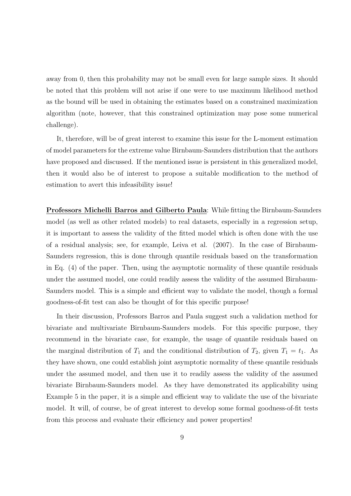away from 0, then this probability may not be small even for large sample sizes. It should be noted that this problem will not arise if one were to use maximum likelihood method as the bound will be used in obtaining the estimates based on a constrained maximization algorithm (note, however, that this constrained optimization may pose some numerical challenge).

It, therefore, will be of great interest to examine this issue for the L-moment estimation of model parameters for the extreme value Birnbaum-Saunders distribution that the authors have proposed and discussed. If the mentioned issue is persistent in this generalized model, then it would also be of interest to propose a suitable modification to the method of estimation to avert this infeasibility issue!

Professors Michelli Barros and Gilberto Paula: While fitting the Birnbaum-Saunders model (as well as other related models) to real datasets, especially in a regression setup, it is important to assess the validity of the fitted model which is often done with the use of a residual analysis; see, for example, Leiva et al. (2007). In the case of Birnbaum-Saunders regression, this is done through quantile residuals based on the transformation in Eq. (4) of the paper. Then, using the asymptotic normality of these quantile residuals under the assumed model, one could readily assess the validity of the assumed Birnbaum-Saunders model. This is a simple and efficient way to validate the model, though a formal goodness-of-fit test can also be thought of for this specific purpose!

In their discussion, Professors Barros and Paula suggest such a validation method for bivariate and multivariate Birnbaum-Saunders models. For this specific purpose, they recommend in the bivariate case, for example, the usage of quantile residuals based on the marginal distribution of  $T_1$  and the conditional distribution of  $T_2$ , given  $T_1 = t_1$ . As they have shown, one could establish joint asymptotic normality of these quantile residuals under the assumed model, and then use it to readily assess the validity of the assumed bivariate Birnbaum-Saunders model. As they have demonstrated its applicability using Example 5 in the paper, it is a simple and efficient way to validate the use of the bivariate model. It will, of course, be of great interest to develop some formal goodness-of-fit tests from this process and evaluate their efficiency and power properties!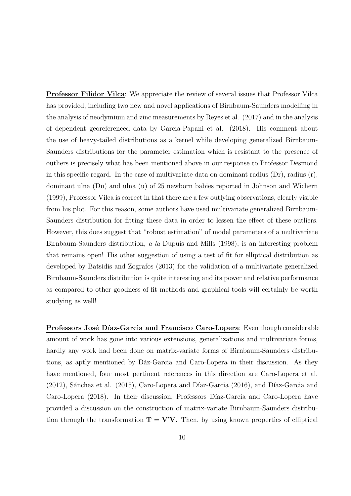Professor Filidor Vilca: We appreciate the review of several issues that Professor Vilca has provided, including two new and novel applications of Birnbaum-Saunders modelling in the analysis of neodymium and zinc measurements by Reyes et al. (2017) and in the analysis of dependent georeferenced data by Garcia-Papani et al. (2018). His comment about the use of heavy-tailed distributions as a kernel while developing generalized Birnbaum-Saunders distributions for the parameter estimation which is resistant to the presence of outliers is precisely what has been mentioned above in our response to Professor Desmond in this specific regard. In the case of multivariate data on dominant radius  $(Dr)$ , radius  $(r)$ , dominant ulna (Du) and ulna (u) of 25 newborn babies reported in Johnson and Wichern (1999), Professor Vilca is correct in that there are a few outlying observations, clearly visible from his plot. For this reason, some authors have used multivariate generalized Birnbaum-Saunders distribution for fitting these data in order to lessen the effect of these outliers. However, this does suggest that "robust estimation" of model parameters of a multivariate Birnbaum-Saunders distribution, a la Dupuis and Mills (1998), is an interesting problem that remains open! His other suggestion of using a test of fit for elliptical distribution as developed by Batsidis and Zografos (2013) for the validation of a multivariate generalized Birnbaum-Saunders distribution is quite interesting and its power and relative performance as compared to other goodness-of-fit methods and graphical tools will certainly be worth studying as well!

Professors José Díaz-Garcia and Francisco Caro-Lopera: Even though considerable amount of work has gone into various extensions, generalizations and multivariate forms, hardly any work had been done on matrix-variate forms of Birnbaum-Saunders distributions, as aptly mentioned by Dáz-Garcia and Caro-Lopera in their discussion. As they have mentioned, four most pertinent references in this direction are Caro-Lopera et al.  $(2012)$ , Sánchez et al.  $(2015)$ , Caro-Lopera and Díaz-Garcia  $(2016)$ , and Díaz-Garcia and Caro-Lopera (2018). In their discussion, Professors Díaz-Garcia and Caro-Lopera have provided a discussion on the construction of matrix-variate Birnbaum-Saunders distribution through the transformation  $T = V'V$ . Then, by using known properties of elliptical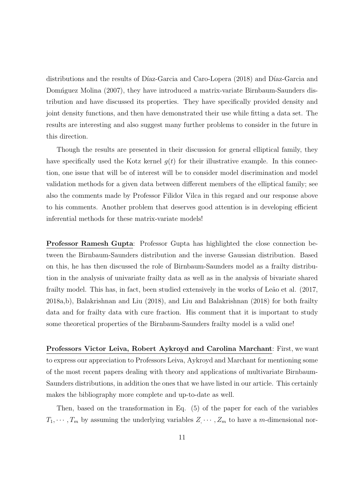distributions and the results of Díaz-Garcia and Caro-Lopera (2018) and Díaz-Garcia and Domn´guez Molina (2007), they have introduced a matrix-variate Birnbaum-Saunders distribution and have discussed its properties. They have specifically provided density and joint density functions, and then have demonstrated their use while fitting a data set. The results are interesting and also suggest many further problems to consider in the future in this direction.

Though the results are presented in their discussion for general elliptical family, they have specifically used the Kotz kernel  $q(t)$  for their illustrative example. In this connection, one issue that will be of interest will be to consider model discrimination and model validation methods for a given data between different members of the elliptical family; see also the comments made by Professor Filidor Vilca in this regard and our response above to his comments. Another problem that deserves good attention is in developing efficient inferential methods for these matrix-variate models!

Professor Ramesh Gupta: Professor Gupta has highlighted the close connection between the Birnbaum-Saunders distribution and the inverse Gaussian distribution. Based on this, he has then discussed the role of Birnbaum-Saunders model as a frailty distribution in the analysis of univariate frailty data as well as in the analysis of bivariate shared frailty model. This has, in fact, been studied extensively in the works of Leão et al. (2017, 2018a,b), Balakrishnan and Liu (2018), and Liu and Balakrishnan (2018) for both frailty data and for frailty data with cure fraction. His comment that it is important to study some theoretical properties of the Birnbaum-Saunders frailty model is a valid one!

Professors Victor Leiva, Robert Aykroyd and Carolina Marchant: First, we want to express our appreciation to Professors Leiva, Aykroyd and Marchant for mentioning some of the most recent papers dealing with theory and applications of multivariate Birnbaum-Saunders distributions, in addition the ones that we have listed in our article. This certainly makes the bibliography more complete and up-to-date as well.

Then, based on the transformation in Eq. (5) of the paper for each of the variables  $T_1, \dots, T_m$  by assuming the underlying variables  $Z_1, \dots, Z_m$  to have a m-dimensional nor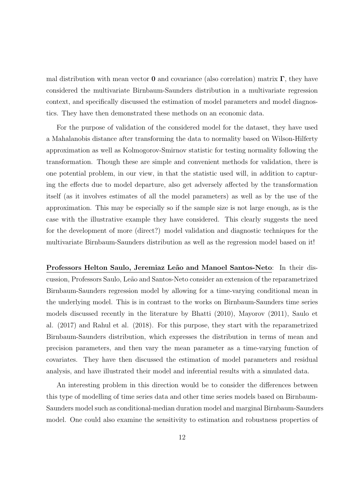mal distribution with mean vector **0** and covariance (also correlation) matrix  $\Gamma$ , they have considered the multivariate Birnbaum-Saunders distribution in a multivariate regression context, and specifically discussed the estimation of model parameters and model diagnostics. They have then demonstrated these methods on an economic data.

For the purpose of validation of the considered model for the dataset, they have used a Mahalanobis distance after transforming the data to normality based on Wilson-Hilferty approximation as well as Kolmogorov-Smirnov statistic for testing normality following the transformation. Though these are simple and convenient methods for validation, there is one potential problem, in our view, in that the statistic used will, in addition to capturing the effects due to model departure, also get adversely affected by the transformation itself (as it involves estimates of all the model parameters) as well as by the use of the approximation. This may be especially so if the sample size is not large enough, as is the case with the illustrative example they have considered. This clearly suggests the need for the development of more (direct?) model validation and diagnostic techniques for the multivariate Birnbaum-Saunders distribution as well as the regression model based on it!

Professors Helton Saulo, Jeremiaz Leão and Manoel Santos-Neto: In their discussion, Professors Saulo, Le˜ao and Santos-Neto consider an extension of the reparametrized Birnbaum-Saunders regression model by allowing for a time-varying conditional mean in the underlying model. This is in contrast to the works on Birnbaum-Saunders time series models discussed recently in the literature by Bhatti (2010), Mayorov (2011), Saulo et al. (2017) and Rahul et al. (2018). For this purpose, they start with the reparametrized Birnbaum-Saunders distribution, which expresses the distribution in terms of mean and precision parameters, and then vary the mean parameter as a time-varying function of covariates. They have then discussed the estimation of model parameters and residual analysis, and have illustrated their model and inferential results with a simulated data.

An interesting problem in this direction would be to consider the differences between this type of modelling of time series data and other time series models based on Birnbaum-Saunders model such as conditional-median duration model and marginal Birnbaum-Saunders model. One could also examine the sensitivity to estimation and robustness properties of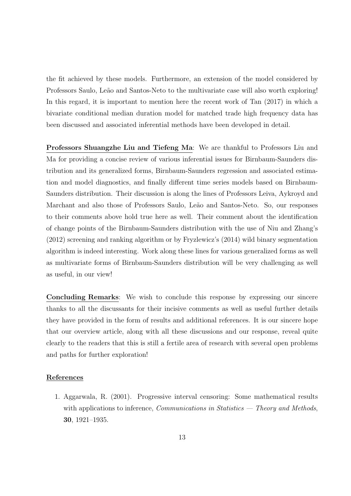the fit achieved by these models. Furthermore, an extension of the model considered by Professors Saulo, Leão and Santos-Neto to the multivariate case will also worth exploring! In this regard, it is important to mention here the recent work of Tan (2017) in which a bivariate conditional median duration model for matched trade high frequency data has been discussed and associated inferential methods have been developed in detail.

Professors Shuangzhe Liu and Tiefeng Ma: We are thankful to Professors Liu and Ma for providing a concise review of various inferential issues for Birnbaum-Saunders distribution and its generalized forms, Birnbaum-Saunders regression and associated estimation and model diagnostics, and finally different time series models based on Birnbaum-Saunders distribution. Their discussion is along the lines of Professors Leiva, Aykroyd and Marchant and also those of Professors Saulo, Leão and Santos-Neto. So, our responses to their comments above hold true here as well. Their comment about the identification of change points of the Birnbaum-Saunders distribution with the use of Niu and Zhang's (2012) screening and ranking algorithm or by Fryzlewicz's (2014) wild binary segmentation algorithm is indeed interesting. Work along these lines for various generalized forms as well as multivariate forms of Birnbaum-Saunders distribution will be very challenging as well as useful, in our view!

Concluding Remarks: We wish to conclude this response by expressing our sincere thanks to all the discussants for their incisive comments as well as useful further details they have provided in the form of results and additional references. It is our sincere hope that our overview article, along with all these discussions and our response, reveal quite clearly to the readers that this is still a fertile area of research with several open problems and paths for further exploration!

## References

1. Aggarwala, R. (2001). Progressive interval censoring: Some mathematical results with applications to inference, *Communications in Statistics — Theory and Methods*, 30, 1921–1935.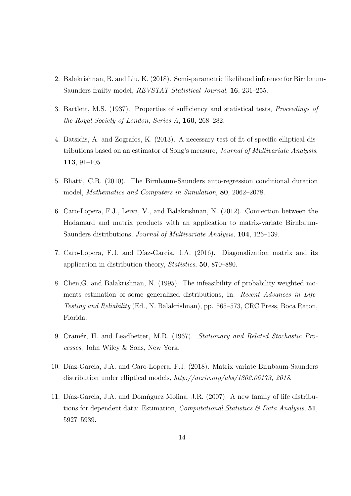- 2. Balakrishnan, B. and Liu, K. (2018). Semi-parametric likelihood inference for Birnbaum-Saunders frailty model, REVSTAT Statistical Journal, 16, 231–255.
- 3. Bartlett, M.S. (1937). Properties of sufficiency and statistical tests, Proceedings of the Royal Society of London, Series A, 160, 268–282.
- 4. Batsidis, A. and Zografos, K. (2013). A necessary test of fit of specific elliptical distributions based on an estimator of Song's measure, Journal of Multivariate Analysis, 113, 91–105.
- 5. Bhatti, C.R. (2010). The Birnbaum-Saunders auto-regression conditional duration model, Mathematics and Computers in Simulation, 80, 2062–2078.
- 6. Caro-Lopera, F.J., Leiva, V., and Balakrishnan, N. (2012). Connection between the Hadamard and matrix products with an application to matrix-variate Birnbaum-Saunders distributions, Journal of Multivariate Analysis, 104, 126–139.
- 7. Caro-Lopera, F.J. and Díaz-Garcia, J.A. (2016). Diagonalization matrix and its application in distribution theory, Statistics, 50, 870–880.
- 8. Chen,G. and Balakrishnan, N. (1995). The infeasibility of probability weighted moments estimation of some generalized distributions, In: Recent Advances in Life-Testing and Reliability (Ed., N. Balakrishnan), pp. 565–573, CRC Press, Boca Raton, Florida.
- 9. Cramér, H. and Leadbetter, M.R. (1967). Stationary and Related Stochastic Processes, John Wiley & Sons, New York.
- 10. Díaz-Garcia, J.A. and Caro-Lopera, F.J. (2018). Matrix variate Birnbaum-Saunders distribution under elliptical models, http://arxiv.org/abs/1802.06173, 2018.
- 11. Díaz-Garcia, J.A. and Domíguez Molina, J.R. (2007). A new family of life distributions for dependent data: Estimation, Computational Statistics & Data Analysis, 51, 5927–5939.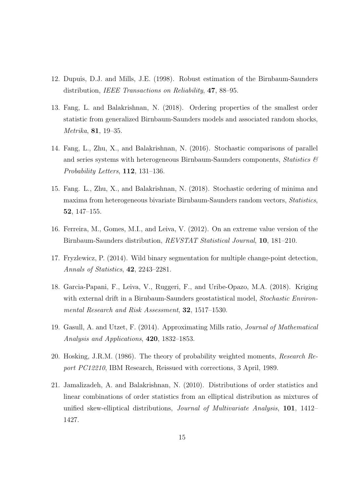- 12. Dupuis, D.J. and Mills, J.E. (1998). Robust estimation of the Birnbaum-Saunders distribution, *IEEE Transactions on Reliability*, **47**, 88–95.
- 13. Fang, L. and Balakrishnan, N. (2018). Ordering properties of the smallest order statistic from generalized Birnbaum-Saunders models and associated random shocks, Metrika, 81, 19–35.
- 14. Fang, L., Zhu, X., and Balakrishnan, N. (2016). Stochastic comparisons of parallel and series systems with heterogeneous Birnbaum-Saunders components, Statistics  $\mathcal{B}$ Probability Letters, 112, 131–136.
- 15. Fang. L., Zhu, X., and Balakrishnan, N. (2018). Stochastic ordering of minima and maxima from heterogeneous bivariate Birnbaum-Saunders random vectors, Statistics, 52, 147–155.
- 16. Ferreira, M., Gomes, M.I., and Leiva, V. (2012). On an extreme value version of the Birnbaum-Saunders distribution, REVSTAT Statistical Journal, 10, 181–210.
- 17. Fryzlewicz, P. (2014). Wild binary segmentation for multiple change-point detection, Annals of Statistics, 42, 2243–2281.
- 18. Garcia-Papani, F., Leiva, V., Ruggeri, F., and Uribe-Opazo, M.A. (2018). Kriging with external drift in a Birnbaum-Saunders geostatistical model, *Stochastic Environ*mental Research and Risk Assessment, 32, 1517–1530.
- 19. Gasull, A. and Utzet, F. (2014). Approximating Mills ratio, Journal of Mathematical Analysis and Applications, 420, 1832–1853.
- 20. Hosking, J.R.M. (1986). The theory of probability weighted moments, Research Report PC12210, IBM Research, Reissued with corrections, 3 April, 1989.
- 21. Jamalizadeh, A. and Balakrishnan, N. (2010). Distributions of order statistics and linear combinations of order statistics from an elliptical distribution as mixtures of unified skew-elliptical distributions, Journal of Multivariate Analysis, 101, 1412– 1427.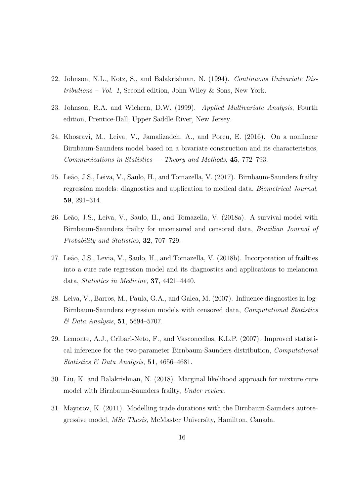- 22. Johnson, N.L., Kotz, S., and Balakrishnan, N. (1994). Continuous Univariate Distributions – Vol. 1, Second edition, John Wiley & Sons, New York.
- 23. Johnson, R.A. and Wichern, D.W. (1999). Applied Multivariate Analysis, Fourth edition, Prentice-Hall, Upper Saddle River, New Jersey.
- 24. Khosravi, M., Leiva, V., Jamalizadeh, A., and Porcu, E. (2016). On a nonlinear Birnbaum-Saunders model based on a bivariate construction and its characteristics,  $Communications in Statistics - Theory and Methods, 45, 772-793.$
- 25. Leão, J.S., Leiva, V., Saulo, H., and Tomazella, V. (2017). Birnbaum-Saunders frailty regression models: diagnostics and application to medical data, Biometrical Journal, 59, 291–314.
- 26. Leão, J.S., Leiva, V., Saulo, H., and Tomazella, V. (2018a). A survival model with Birnbaum-Saunders frailty for uncensored and censored data, Brazilian Journal of Probability and Statistics, 32, 707–729.
- 27. Leão, J.S., Levia, V., Saulo, H., and Tomazella, V. (2018b). Incorporation of frailties into a cure rate regression model and its diagnostics and applications to melanoma data, Statistics in Medicine, 37, 4421–4440.
- 28. Leiva, V., Barros, M., Paula, G.A., and Galea, M. (2007). Influence diagnostics in log-Birnbaum-Saunders regression models with censored data, Computational Statistics  $\&$  Data Analysis, 51, 5694–5707.
- 29. Lemonte, A.J., Cribari-Neto, F., and Vasconcellos, K.L.P. (2007). Improved statistical inference for the two-parameter Birnbaum-Saunders distribution, Computational Statistics & Data Analysis, 51, 4656-4681.
- 30. Liu, K. and Balakrishnan, N. (2018). Marginal likelihood approach for mixture cure model with Birnbaum-Saunders frailty, Under review.
- 31. Mayorov, K. (2011). Modelling trade durations with the Birnbaum-Saunders autoregressive model, MSc Thesis, McMaster University, Hamilton, Canada.